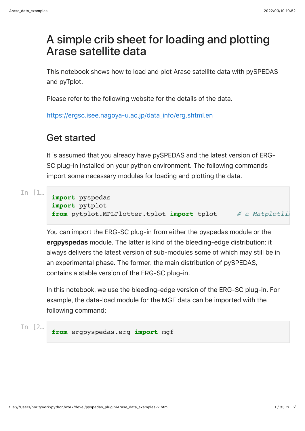# A simple crib sheet for loading and plotting Arase satellite data

This notebook shows how to load and plot Arase satellite data with pySPEDAS and pyTplot.

Please refer to the following website for the details of the data.

[https://ergsc.isee.nagoya-u.ac.jp/data\\_info/erg.shtml.en](https://ergsc.isee.nagoya-u.ac.jp/data_info/erg.shtml.en)

## Get started

It is assumed that you already have pySPEDAS and the latest version of ERG-SC plug-in installed on your python environment. The following commands import some necessary modules for loading and plotting the data.

```
In [1… import pyspedas
       import pytplot
       from pytplot.MPLPlotter.tplot import tplot \# a Matplotli
```
You can import the ERG-SC plug-in from either the pyspedas module or the **ergpyspedas** module. The latter is kind of the bleeding-edge distribution: it always delivers the latest version of sub-modules some of which may still be in an experimental phase. The former, the main distribution of pySPEDAS, contains a stable version of the ERG-SC plug-in.

In this notebook, we use the bleeding-edge version of the ERG-SC plug-in. For example, the data-load module for the MGF data can be imported with the following command:

In [2… **from** ergpyspedas.erg **import** mgf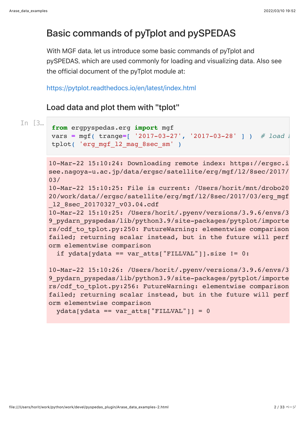## Basic commands of pyTplot and pySPEDAS

With MGF data, let us introduce some basic commands of pyTplot and pySPEDAS, which are used commonly for loading and visualizing data. Also see the official document of the pyTplot module at:

#### <https://pytplot.readthedocs.io/en/latest/index.html>

### Load data and plot them with "tplot"

```
In [3… from ergpyspedas.erg import mgf
       vars = mgf( trange=[ '2017-03-27', '2017-03-28' ] ) # load
       tplot( 'erg mgf 12 mag 8sec sm' )
```

```
10-Mar-22 15:10:24: Downloading remote index: https://ergsc.i
see.nagoya-u.ac.jp/data/ergsc/satellite/erg/mgf/l2/8sec/2017/
03/
```

```
10-Mar-22 15:10:25: File is current: /Users/horit/mnt/drobo20
20/work/data//ergsc/satellite/erg/mgf/l2/8sec/2017/03/erg_mgf
_l2_8sec_20170327_v03.04.cdf
```
10-Mar-22 15:10:25: /Users/horit/.pyenv/versions/3.9.6/envs/3 9 pydarn pyspedas/lib/python3.9/site-packages/pytplot/importe rs/cdf\_to\_tplot.py:250: FutureWarning: elementwise comparison failed; returning scalar instead, but in the future will perf orm elementwise comparison

```
if ydata[ydata == var atts["FILLVAL"]].size != 0:
```
10-Mar-22 15:10:26: /Users/horit/.pyenv/versions/3.9.6/envs/3 9 pydarn pyspedas/lib/python3.9/site-packages/pytplot/importe rs/cdf to tplot.py:256: FutureWarning: elementwise comparison failed; returning scalar instead, but in the future will perf orm elementwise comparison

```
ydata[ydata == varatts['FillLVAL"]] = 0
```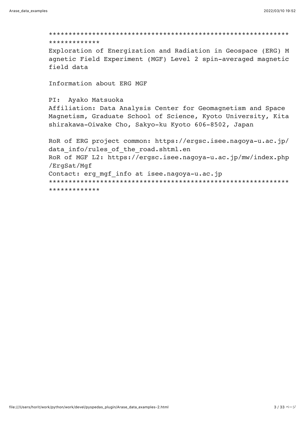#### \*\*\*\*\*\*\*\*\*\*\*\*\*

Exploration of Energization and Radiation in Geospace (ERG) M agnetic Field Experiment (MGF) Level 2 spin-averaged magnetic field data

Information about ERG MGF

#### PI: Ayako Matsuoka

Affiliation: Data Analysis Center for Geomagnetism and Space Magnetism, Graduate School of Science, Kyoto University, Kita shirakawa-Oiwake Cho, Sakyo-ku Kyoto 606-8502, Japan

```
RoR of ERG project common: https://ergsc.isee.nagoya-u.ac.jp/
data info/rules of the road.shtml.en
RoR of MGF L2: https://ergsc.isee.nagoya-u.ac.jp/mw/index.php
/ErgSat/Mgf
Contact: erg mgf_info at isee.nagoya-u.ac.jp
*************
```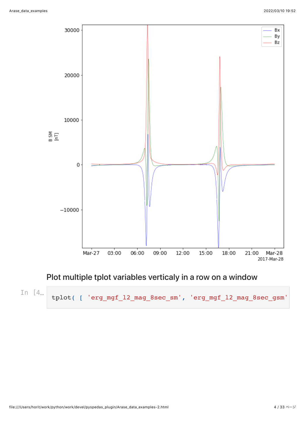

### Plot multiple tplot variables verticaly in a row on a window

In  $[4...]$ 

tplot( ['erg\_mgf\_12\_mag\_8sec\_sm', 'erg\_mgf\_12\_mag\_8sec\_gsm'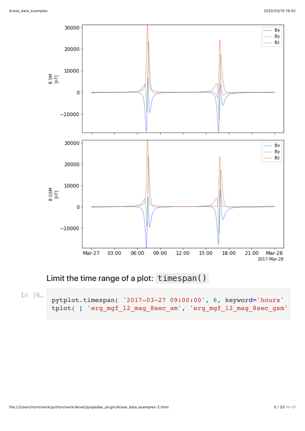

### Limit the time range of a plot: timespan()

In [6… pytplot**.**timespan( '2017-03-27 09:00:00', 6, keyword**=**'hours' ) tplot( [ 'erg\_mgf\_l2\_mag\_8sec\_sm', 'erg\_mgf\_l2\_mag\_8sec\_gsm'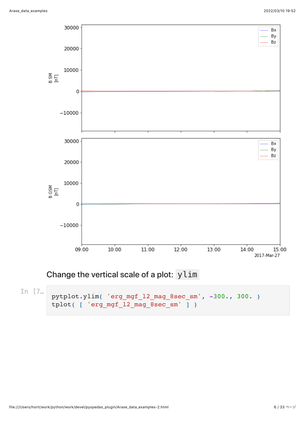

### Change the vertical scale of a plot: ylim

```
In [7… pytplot.ylim( 'erg_mgf_l2_mag_8sec_sm', -300., 300. )
       tplot( [ 'erg mgf 12 mag 8sec sm' ] )
```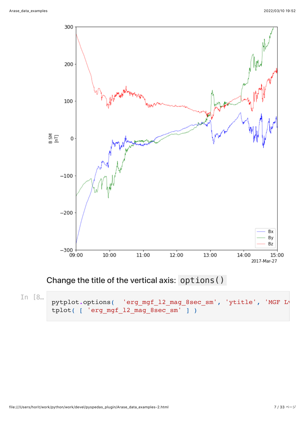

## Change the title of the vertical axis: options ()

In [8...<sup>]</sup> pytplot.options( 'erg\_mgf\_l2\_mag\_8sec\_sm', 'ytitle', 'MGF L<sup>1</sup> tplot( [ 'erg mgf 12 mag 8sec sm' ] )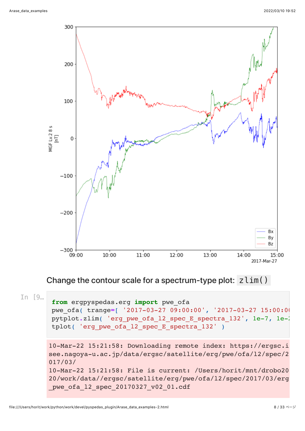

Change the contour scale for a spectrum-type plot:  $zlim()$ 

In [9… **from** ergpyspedas.erg **import** pwe\_ofa pwe\_ofa( trange**=**[ '2017-03-27 09:00:00', '2017-03-27 15:00:00' pytplot**.**zlim( 'erg\_pwe\_ofa\_l2\_spec\_E\_spectra\_132', 1e-7, 1e-2 tplot( 'erg pwe ofa 12 spec E spectra 132' )

```
10-Mar-22 15:21:58: Downloading remote index: https://ergsc.i
see.nagoya-u.ac.jp/data/ergsc/satellite/erg/pwe/ofa/l2/spec/2
017/03/
10-Mar-22 15:21:58: File is current: /Users/horit/mnt/drobo20
20/work/data//ergsc/satellite/erg/pwe/ofa/l2/spec/2017/03/erg
pwe_ofa_l2_spec_20170327_v02_01.cdf
```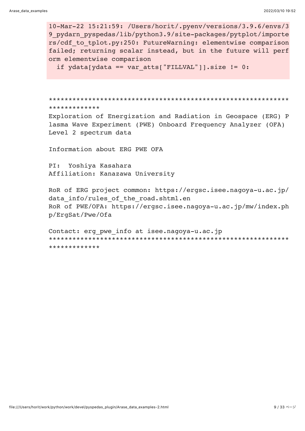10-Mar-22 15:21:59: /Users/horit/.pyenv/versions/3.9.6/envs/3 9 pydarn pyspedas/lib/python3.9/site-packages/pytplot/importe rs/cdf to tplot.py:250: FutureWarning: elementwise comparison failed; returning scalar instead, but in the future will perf orm elementwise comparison

if  $ydata[ydata == varatts["FILLVAL"]\text{].size} != 0:$ 

\*\*\*\*\*\*\*\*\*\*\*\*\*

Exploration of Energization and Radiation in Geospace (ERG) P lasma Wave Experiment (PWE) Onboard Frequency Analyzer (OFA) Level 2 spectrum data

Information about ERG PWE OFA

 $PI:$ Yoshiya Kasahara Affiliation: Kanazawa University

RoR of ERG project common: https://ergsc.isee.nagoya-u.ac.jp/ data info/rules of the road.shtml.en RoR of PWE/OFA: https://ergsc.isee.nagoya-u.ac.jp/mw/index.ph p/ErgSat/Pwe/Ofa

Contact: erg pwe info at isee.nagoya-u.ac.jp \*\*\*\*\*\*\*\*\*\*\*\*\*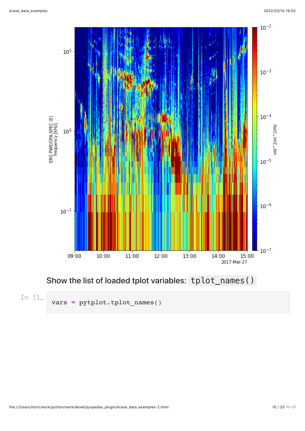

## Show the list of loaded tplot variables: tplot\_names()

In [1… vars **<sup>=</sup>** pytplot**.**tplot\_names()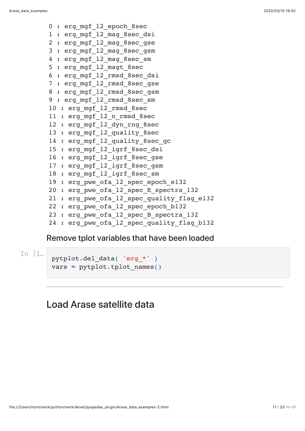```
0 : erg mgf 12 epoch 8sec
1 : erg mgf 12 mag 8sec dsi
2 : erg mgf 12 mag 8sec gse
3 : erg_mgf_l2_mag_8sec_gsm
4 : erg mgf 12 mag 8sec sm
5 : erg mgf 12 magt 8sec
6 : erg_mgf_l2_rmsd_8sec_dsi
7 : erg_mgf_l2_rmsd_8sec_gse
8 : erg mgf 12 rmsd 8sec gsm
9 : erg mgf 12 rmsd 8sec sm
10 : erg mgf 12 rmsd 8sec
11 : erg mgf 12 n rmsd 8sec
12 : erg mgf 12 dyn rng 8sec
13 : erg mgf 12 quality 8sec
14 : erg mgf 12 quality 8sec gc
15 : erg mgf 12 igrf 8sec dsi
16 : erg mgf 12 igrf 8sec gse
17 : erg mgf 12 igrf 8sec gsm
18 : erg mgf 12 igrf 8sec sm
19 : erg pwe ofa 12 spec epoch e132
20 : erg pwe ofa 12 spec E spectra 132
21 : erg pwe ofa 12 spec quality flag e132
22 : erg pwe ofa 12 spec epoch b132
23 : erg pwe ofa 12 spec B spectra 132
24 : erg pwe ofa 12 spec quality flag b132
```
#### Remove tplot variables that have been loaded

In [1… pytplot**.**del\_data( 'erg\_\*' ) vars **=** pytplot**.**tplot\_names()

### Load Arase satellite data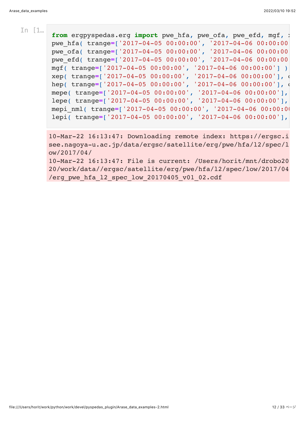In  $1$ <sup>m</sup> **from** ergpyspedas.erg **import** pwe hfa, pwe ofa, pwe efd, mgf, xepped, xepped, xepped, xepped, xepped, xepped, xepped, xepped, xepped, xepped, xepped, xepped, xepped, xepped, xepped, xepped, xepped, xepped, xepp pwe\_hfa( trange**=**['2017-04-05 00:00:00', '2017-04-06 00:00:00' pwe\_ofa( trange**=**['2017-04-05 00:00:00', '2017-04-06 00:00:00' pwe\_efd( trange**=**['2017-04-05 00:00:00', '2017-04-06 00:00:00' mgf( trange**=**['2017-04-05 00:00:00', '2017-04-06 00:00:00'] ) xep( trange=['2017-04-05 00:00:00', '2017-04-06 00:00:00'], hep( trange=['2017-04-05 00:00:00', '2017-04-06 00:00:00'], mepe( trange**=**['2017-04-05 00:00:00', '2017-04-06 00:00:00'], lepe( trange**=**['2017-04-05 00:00:00', '2017-04-06 00:00:00'], mepi\_nml( trange**=**['2017-04-05 00:00:00', '2017-04-06 00:00:00' lepi( trange**=**['2017-04-05 00:00:00', '2017-04-06 00:00:00'],

> 10-Mar-22 16:13:47: Downloading remote index: https://ergsc.i see.nagoya-u.ac.jp/data/ergsc/satellite/erg/pwe/hfa/l2/spec/l ow/2017/04/

> 10-Mar-22 16:13:47: File is current: /Users/horit/mnt/drobo20 20/work/data//ergsc/satellite/erg/pwe/hfa/l2/spec/low/2017/04 /erg pwe hfa 12 spec low 20170405  $v$ 01 02.cdf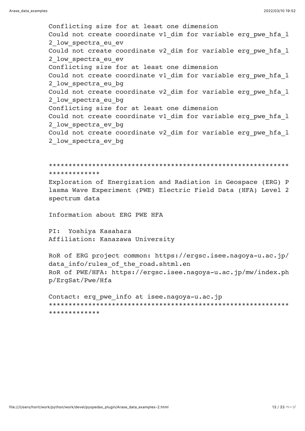Conflicting size for at least one dimension Could not create coordinate v1\_dim for variable erg\_pwe\_hfa\_1 2 low spectra eu ev Could not create coordinate v2 dim for variable erg pwe hfa l 2 low spectra eu ev Conflicting size for at least one dimension Could not create coordinate v1 dim for variable erg pwe hfa l 2 low spectra eu bq Could not create coordinate v2 dim for variable erg pwe hfa l 2 low spectra eu bg Conflicting size for at least one dimension Could not create coordinate v1 dim for variable erg pwe hfa l 2 low spectra ev bg Could not create coordinate v2 dim for variable erg pwe hfa l 2 low spectra ev bg

\*\*\*\*\*\*\*\*\*\*\*\*\*

Exploration of Energization and Radiation in Geospace (ERG) P lasma Wave Experiment (PWE) Electric Field Data (HFA) Level 2 spectrum data

Information about ERG PWE HFA

PI: Yoshiya Kasahara Affiliation: Kanazawa University

RoR of ERG project common: https://ergsc.isee.nagoya-u.ac.jp/ data info/rules of the road.shtml.en RoR of PWE/HFA: https://ergsc.isee.nagoya-u.ac.jp/mw/index.ph p/ErgSat/Pwe/Hfa

Contact: erg pwe info at isee.nagoya-u.ac.jp **+++++++++++++++**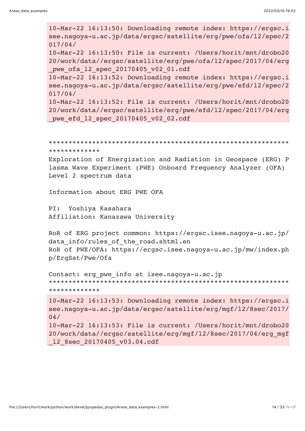10-Mar-22 16:13:50: Downloading remote index: https://ergsc.i see.nagoya-u.ac.jp/data/ergsc/satellite/erg/pwe/ofa/l2/spec/2 017/04/ 10-Mar-22 16:13:50: File is current: /Users/horit/mnt/drobo20 20/work/data//ergsc/satellite/erg/pwe/ofa/l2/spec/2017/04/erg pwe ofa 12 spec 20170405 v02 01.cdf 10-Mar-22 16:13:52: Downloading remote index: https://ergsc.i see.nagoya-u.ac.jp/data/ergsc/satellite/erg/pwe/efd/l2/spec/2 017/04/ 10-Mar-22 16:13:52: File is current: /Users/horit/mnt/drobo20 20/work/data//ergsc/satellite/erg/pwe/efd/l2/spec/2017/04/erg pwe efd 12 spec 20170405 v02 02.cdf

```
*************************************************************
*************
```
Exploration of Energization and Radiation in Geospace (ERG) P lasma Wave Experiment (PWE) Onboard Frequency Analyzer (OFA) Level 2 spectrum data

Information about ERG PWE OFA

PI: Yoshiya Kasahara Affiliation: Kanazawa University

RoR of ERG project common: https://ergsc.isee.nagoya-u.ac.jp/ data info/rules of the road.shtml.en RoR of PWE/OFA: https://ergsc.isee.nagoya-u.ac.jp/mw/index.ph p/ErgSat/Pwe/Ofa

```
Contact: erg_pwe_info at isee.nagoya-u.ac.jp
*************************************************************
*************
```

```
10-Mar-22 16:13:53: Downloading remote index: https://ergsc.i
see.nagoya-u.ac.jp/data/ergsc/satellite/erg/mgf/l2/8sec/2017/
04/
10-Mar-22 16:13:53: File is current: /Users/horit/mnt/drobo20
20/work/data//ergsc/satellite/erg/mgf/l2/8sec/2017/04/erg_mgf
_l2_8sec_20170405_v03.04.cdf
```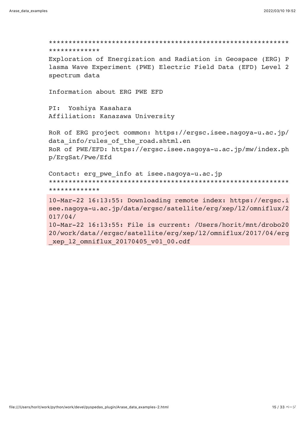\*\*\*\*\*\*\*\*\*\*\*\*\*\*\*\*\*\*\*\*\*\*\*\*\*\*\*\*\*\*\*\*\*\*\*\*\*\*\*\*\*\*\*\*\*\*\*\*\*\*\*\*\*\*\*\*\*\*\*\*\* \*\*\*\*\*\*\*\*\*\*\*\*\*

Exploration of Energization and Radiation in Geospace (ERG) P lasma Wave Experiment (PWE) Electric Field Data (EFD) Level 2 spectrum data

Information about ERG PWE EFD

PI: Yoshiya Kasahara Affiliation: Kanazawa University

RoR of ERG project common: https://ergsc.isee.nagoya-u.ac.jp/ data info/rules of the road.shtml.en RoR of PWE/EFD: https://ergsc.isee.nagoya-u.ac.jp/mw/index.ph p/ErgSat/Pwe/Efd

```
Contact: erg_pwe_info at isee.nagoya-u.ac.jp
*************************************************************
*************
```
10-Mar-22 16:13:55: Downloading remote index: https://ergsc.i see.nagoya-u.ac.jp/data/ergsc/satellite/erg/xep/l2/omniflux/2 017/04/

10-Mar-22 16:13:55: File is current: /Users/horit/mnt/drobo20 20/work/data//ergsc/satellite/erg/xep/l2/omniflux/2017/04/erg \_xep\_l2\_omniflux\_20170405\_v01\_00.cdf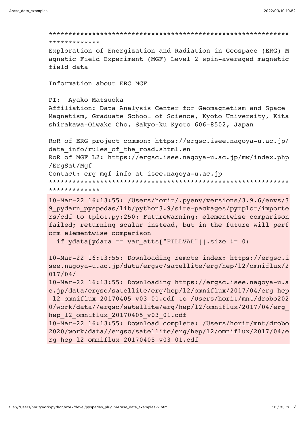#### \*\*\*\*\*\*\*\*\*\*\*\*\*

Exploration of Energization and Radiation in Geospace (ERG) M agnetic Field Experiment (MGF) Level 2 spin-averaged magnetic field data

Information about ERG MGF

#### PI: Ayako Matsuoka

Affiliation: Data Analysis Center for Geomagnetism and Space Magnetism, Graduate School of Science, Kyoto University, Kita shirakawa-Oiwake Cho, Sakyo-ku Kyoto 606-8502, Japan

```
RoR of ERG project common: https://ergsc.isee.nagoya-u.ac.jp/
data info/rules of the road.shtml.en
RoR of MGF L2: https://ergsc.isee.nagoya-u.ac.jp/mw/index.php
/ErgSat/Mgf
Contact: erg mgf info at isee.nagoya-u.ac.jp
```
\*\*\*\*\*\*\*\*\*\*\*\*\*

10-Mar-22 16:13:55: /Users/horit/.pyenv/versions/3.9.6/envs/3 9 pydarn pyspedas/lib/python3.9/site-packages/pytplot/importe rs/cdf to tplot.py:250: FutureWarning: elementwise comparison failed; returning scalar instead, but in the future will perf orm elementwise comparison

if  $ydata[ydata == varatts["FILLVAL"]] . size != 0:$ 

10-Mar-22 16:13:55: Downloading remote index: https://ergsc.i see.nagoya-u.ac.jp/data/ergsc/satellite/erg/hep/12/omniflux/2  $017/04/$ 

10-Mar-22 16:13:55: Downloading https://ergsc.isee.nagoya-u.a c.jp/data/ergsc/satellite/erg/hep/12/omniflux/2017/04/erg hep 12 omniflux 20170405 v03 01.cdf to /Users/horit/mnt/drobo202 0/work/data//ergsc/satellite/erg/hep/12/omniflux/2017/04/erg hep 12 omniflux 20170405 v03 01.cdf

10-Mar-22 16:13:55: Download complete: /Users/horit/mnt/drobo 2020/work/data//ergsc/satellite/erg/hep/l2/omniflux/2017/04/e rg hep 12 omniflux 20170405 v03 01.cdf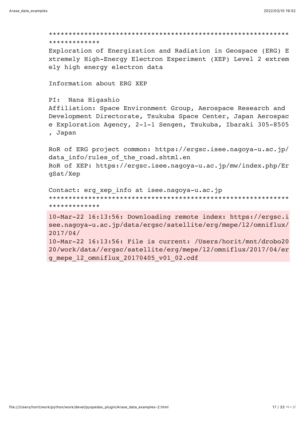```
*************
Exploration of Energization and Radiation in Geospace (ERG) E
xtremely High-Energy Electron Experiment (XEP) Level 2 extrem
ely high energy electron data
Information about ERG XEP
PI: Nana Higashio
Affiliation: Space Environment Group, Aerospace Research and
Development Directorate, Tsukuba Space Center, Japan Aerospac
e Exploration Agency, 2-1-1 Sengen, Tsukuba, Ibaraki 305-8505
, Japan
RoR of ERG project common: https://ergsc.isee.nagoya-u.ac.jp/
data info/rules of the road.shtml.en
RoR of XEP: https://ergsc.isee.nagoya-u.ac.jp/mw/index.php/Er
qSat/Xep
Contact: erg xep info at isee.nagoya-u.ac.jp
*************
10-Mar-22 16:13:56: Downloading remote index: https://ergsc.i
see.nagoya-u.ac.jp/data/ergsc/satellite/erg/mepe/12/omniflux/
2017/04/10-Mar-22 16:13:56: File is current: /Users/horit/mnt/drobo20
20/work/data//ergsc/satellite/erg/mepe/12/omniflux/2017/04/er
```

```
g mepe 12 omniflux 20170405 v01 02.cdf
```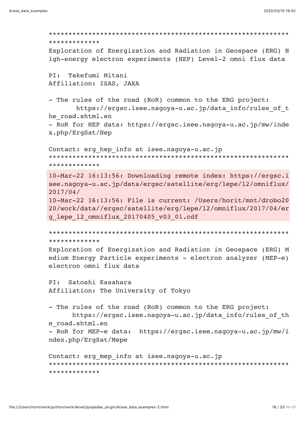\*\*\*\*\*\*\*\*\*\*\*\*\* Exploration of Energization and Radiation in Geospace (ERG) H igh-energy electron experiments (HEP) Level-2 omni flux data Takefumi Mitani  $PI:$ Affiliation: ISAS, JAXA - The rules of the road (RoR) common to the ERG project: https://ergsc.isee.nagoya-u.ac.jp/data info/rules of t he road.shtml.en - RoR for HEP data: https://ergsc.isee.nagoya-u.ac.jp/mw/inde x.php/ErgSat/Hep Contact: erg hep info at isee.nagoya-u.ac.jp \*\*\*\*\*\*\*\*\*\*\*\*\* 10-Mar-22 16:13:56: Downloading remote index: https://ergsc.i see.nagoya-u.ac.jp/data/ergsc/satellite/erg/lepe/12/omniflux/  $2017/04/$ 10-Mar-22 16:13:56: File is current: /Users/horit/mnt/drobo20 20/work/data//ergsc/satellite/erg/lepe/12/omniflux/2017/04/er g lepe 12 omniflux 20170405 v03 01.cdf \*\*\*\*\*\*\*\*\*\*\*\*\* Exploration of Energization and Radiation in Geospace (ERG) M edium Energy Particle experiments - electron analyzer (MEP-e) electron omni flux data Satoshi Kasahara  $PI:$ Affiliation: The University of Tokyo - The rules of the road (RoR) common to the ERG project: https://ergsc.isee.nagoya-u.ac.jp/data info/rules of th e road.shtml.en - RoR for MEP-e data: https://ergsc.isee.nagoya-u.ac.jp/mw/i ndex.php/ErgSat/Mepe Contact: erg mep info at isee.nagoya-u.ac.jp \*\*\*\*\*\*\*\*\*\*\*\*\*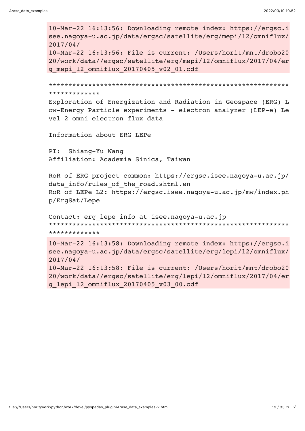10-Mar-22 16:13:56: Downloading remote index: https://ergsc.i see.nagoya-u.ac.jp/data/ergsc/satellite/erg/mepi/12/omniflux/  $2017/04/$ 10-Mar-22 16:13:56: File is current: /Users/horit/mnt/drobo20 20/work/data//ergsc/satellite/erg/mepi/l2/omniflux/2017/04/er g mepi 12 omniflux 20170405 v02 01.cdf \*\*\*\*\*\*\*\*\*\*\*\*\* Exploration of Energization and Radiation in Geospace (ERG) L ow-Energy Particle experiments - electron analyzer (LEP-e) Le vel 2 omni electron flux data Information about ERG LEPe Shiang-Yu Wang  $PI:$ Affiliation: Academia Sinica, Taiwan RoR of ERG project common: https://ergsc.isee.nagoya-u.ac.jp/ data info/rules of the road.shtml.en RoR of LEPe L2: https://ergsc.isee.nagoya-u.ac.jp/mw/index.ph p/ErgSat/Lepe Contact: erg lepe info at isee.nagoya-u.ac.jp \*\*\*\*\*\*\*\*\*\*\*\*\* 10-Mar-22 16:13:58: Downloading remote index: https://ergsc.i see.nagoya-u.ac.jp/data/ergsc/satellite/erg/lepi/12/omniflux/  $2017/04/$ 10-Mar-22 16:13:58: File is current: /Users/horit/mnt/drobo20 20/work/data//ergsc/satellite/erg/lepi/12/omniflux/2017/04/er g lepi 12 omniflux 20170405 v03 00.cdf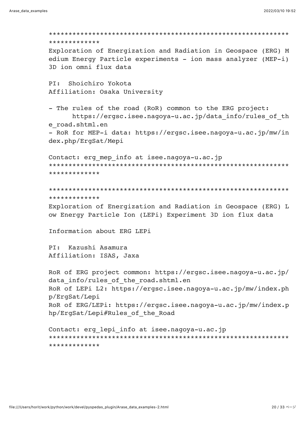```
*************
Exploration of Energization and Radiation in Geospace (ERG) M
edium Energy Particle experiments - ion mass analyzer (MEP-i)
3D ion omni flux data
PT:Shoichiro Yokota
Affiliation: Osaka University
- The rules of the road (RoR) common to the ERG project:
    https://ergsc.isee.nagoya-u.ac.jp/data info/rules of th
e road.shtml.en
- RoR for MEP-i data: https://ergsc.isee.nagoya-u.ac.jp/mw/in
dex.php/ErgSat/Mepi
Contact: erg mep info at isee.nagoya-u.ac.jp
*************
*************
Exploration of Energization and Radiation in Geospace (ERG) L
ow Energy Particle Ion (LEPi) Experiment 3D ion flux data
Information about ERG LEPi
PI: Kazushi Asamura
Affiliation: ISAS, Jaxa
RoR of ERG project common: https://ergsc.isee.nagoya-u.ac.jp/
data info/rules of the road.shtml.en
RoR of LEPi L2: https://ergsc.isee.nagoya-u.ac.jp/mw/index.ph
p/ErgSat/Lepi
RoR of ERG/LEPi: https://ergsc.isee.nagoya-u.ac.jp/mw/index.p
hp/ErgSat/Lepi#Rules of the Road
Contact: erg lepi info at isee.nagoya-u.ac.jp
*************
```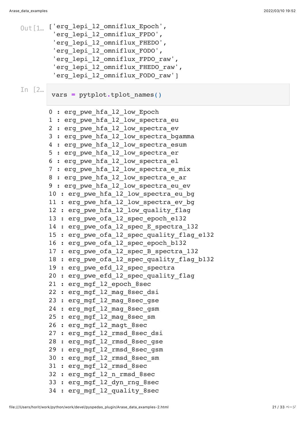```
0ut[1_{...} ['erg_lepi_l2_omniflux_Epoch',
         'erg_lepi_l2_omniflux_FPDO',
        'erg_lepi_l2_omniflux_FHEDO',
        'erg_lepi_l2_omniflux_FODO',
        'erg_lepi_l2_omniflux_FPDO_raw',
        'erg lepi 12 omniflux FHEDO raw',
        'erg lepi 12 omniflux FODO raw']
       0 : erg pwe hfa 12 low Epoch
       1 : erg pwe hfa 12 low spectra eu
       2 : erg pwe hfa 12 low spectra ev
       3 : erg pwe hfa 12 low spectra bgamma
       4 : erg pwe hfa 12 low spectra esum
       5 : erg pwe hfa 12 low spectra er
       6 : erg pwe hfa 12 low spectra el
       7 : erg pwe hfa 12 low spectra e mix
       8 : erg pwe hfa 12 low spectra e ar
       9 : erg pwe hfa 12 low spectra eu ev
       10 : erg pwe hfa 12 low spectra eu bg
       11 : erg pwe hfa 12 low spectra ev bg
       12 : erg pwe hfa 12 low quality flag
       13 : erg pwe ofa 12 spec epoch e132
       14 : erg pwe ofa 12 spec E spectra 132
       15 : erg pwe ofa 12 spec quality flag e132
       16 : erg pwe ofa 12 spec epoch b132
       17 : erg pwe ofa 12 spec B spectra 132
       18 : erg pwe ofa 12 spec quality flag b132
       19 : erg pwe efd 12 spec spectra
       20 : erg pwe efd 12 spec quality flag
       21 : erg mgf 12 epoch 8sec
       22 : erg mgf 12 mag 8sec dsi
       23 : erg mgf 12 mag 8sec gse
       24 : erg mgf 12 mag 8sec gsm
       25 : erg mgf 12 mag 8sec sm
       26 : erg_mgf_l2_magt_8sec
       27 : erg mgf 12 rmsd 8sec dsi
       28 : erg mgf 12 rmsd 8sec gse
       29 : erg_mgf_l2_rmsd_8sec_gsm
       30 : erg_mgf_l2_rmsd_8sec_sm
       31 : erg_mgf_l2_rmsd_8sec
       32 : erg_mgf_l2_n_rmsd_8sec
       33 : erg mgf 12 dyn rng 8sec
       34 : erg mgf 12 quality 8sec
In [2… vars = pytplot.tplot_names()
```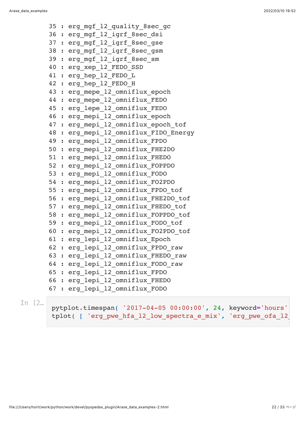35 : erg mgf 12 quality 8sec gc 36 : erg mgf 12 igrf 8sec dsi 37 : erg\_mgf\_l2\_igrf\_8sec\_gse 38 : erg mgf 12 igrf 8sec gsm 39 : erg\_mgf\_l2\_igrf\_8sec\_sm 40 : erg\_xep\_l2\_FEDO\_SSD 41 : erg hep 12 FEDO L 42 : erg hep 12 FEDO H 43 : erg mepe 12 omniflux epoch 44 : erg mepe 12 omniflux FEDO 45 : erg lepe 12 omniflux FEDO 46 : erg mepi 12 omniflux epoch 47 : erg mepi 12 omniflux epoch tof 48 : erg mepi 12 omniflux FIDO Energy 49 : erg mepi 12 omniflux FPDO 50 : erg\_mepi\_l2\_omniflux\_FHE2DO 51 : erg mepi 12 omniflux FHEDO 52 : erg\_mepi\_l2\_omniflux\_FOPPDO 53 : erg\_mepi\_l2\_omniflux\_FODO 54 : erg\_mepi\_l2\_omniflux\_FO2PDO 55 : erg\_mepi\_l2\_omniflux\_FPDO\_tof 56 : erg\_mepi\_l2\_omniflux\_FHE2DO\_tof 57 : erg mepi 12 omniflux FHEDO tof 58 : erg mepi 12 omniflux FOPPDO tof 59 : erg mepi 12 omniflux FODO tof 60 : erg\_mepi\_l2\_omniflux\_FO2PDO\_tof 61 : erg\_lepi\_l2\_omniflux\_Epoch 62 : erg lepi 12 omniflux FPDO raw 63 : erg lepi 12 omniflux FHEDO raw 64 : erg lepi 12 omniflux FODO raw 65 : erg\_lepi\_l2\_omniflux\_FPDO 66 : erg\_lepi\_l2\_omniflux\_FHEDO 67 : erg\_lepi\_l2\_omniflux\_FODO

In [2… pytplot**.**timespan( '2017-04-05 00:00:00', 24, keyword**=**'hours' tplot( [ 'erg pwe hfa 12 low spectra e mix', 'erg pwe ofa 12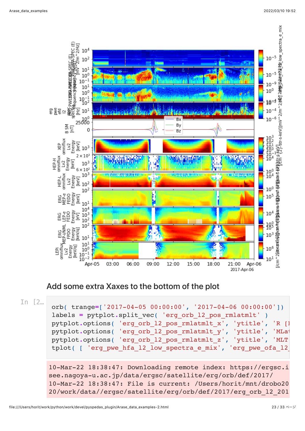

#### Add some extra Xaxes to the bottom of the plot

In [2… orb( trange**=**['2017-04-05 00:00:00', '2017-04-06 00:00:00']) labels = pytplot.split vec( 'erg orb 12 pos rmlatmlt' ) pytplot.options( 'erg orb 12 pos rmlatmlt x', 'ytitle', 'R [] pytplot.options( 'erg orb 12 pos rmlatmlt y', 'ytitle', 'MLat pytplot.options( 'erg orb 12 pos rmlatmlt z', 'ytitle', 'MLT tplot( [ 'erg pwe hfa 12 low spectra e mix', 'erg pwe ofa 12

> 10-Mar-22 18:38:47: Downloading remote index: https://ergsc.i see.nagoya-u.ac.jp/data/ergsc/satellite/erg/orb/def/2017/ 10-Mar-22 18:38:47: File is current: /Users/horit/mnt/drobo20 20/work/data//ergsc/satellite/erg/orb/def/2017/erg\_orb\_l2\_201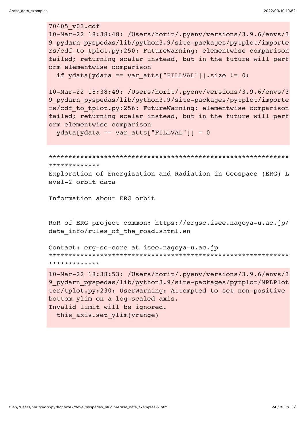#### 70405 v03.cdf

10-Mar-22 18:38:48: /Users/horit/.pyenv/versions/3.9.6/envs/3 9 pydarn pyspedas/lib/python3.9/site-packages/pytplot/importe rs/cdf to tplot.py:250: FutureWarning: elementwise comparison failed; returning scalar instead, but in the future will perf orm elementwise comparison

```
if ydata[ydata == varatts['FillVAL"]] \text{ size} != 0:
```

```
10-Mar-22 18:38:49: /Users/horit/.pyenv/versions/3.9.6/envs/3
9 pydarn pyspedas/lib/python3.9/site-packages/pytplot/importe
rs/cdf to tplot.py:256: FutureWarning: elementwise comparison
failed; returning scalar instead, but in the future will perf
orm elementwise comparison
```
 $ydata[ydata == varatts["FillLVAL"] = 0$ 

```
*************
```
Exploration of Energization and Radiation in Geospace (ERG) L evel-2 orbit data

Information about ERG orbit

RoR of ERG project common: https://ergsc.isee.nagoya-u.ac.jp/ data info/rules of the road.shtml.en

```
Contact: erg-sc-core at isee.nagoya-u.ac.jp
*************
```

```
10-Mar-22 18:38:53: /Users/horit/.pyenv/versions/3.9.6/envs/3
9 pydarn pyspedas/lib/python3.9/site-packages/pytplot/MPLPlot
ter/tplot.py:230: UserWarning: Attempted to set non-positive
bottom ylim on a log-scaled axis.
Invalid limit will be ignored.
 this axis.set ylim(yrange)
```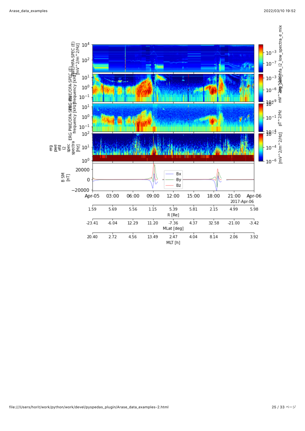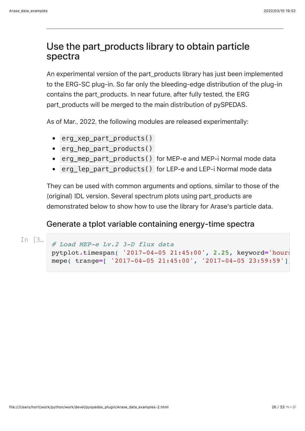## Use the part\_products library to obtain particle spectra

An experimental version of the part\_products library has just been implemented to the ERG-SC plug-in. So far only the bleeding-edge distribution of the plug-in contains the part products. In near future, after fully tested, the ERG part products will be merged to the main distribution of pySPEDAS.

As of Mar., 2022, the following modules are released experimentally:

- erg xep part products()
- erg hep part products()
- erg mep part products() for MEP-e and MEP-i Normal mode data
- erg\_lep\_part\_products() for LEP-e and LEP-i Normal mode data

They can be used with common arguments and options, similar to those of the (original) IDL version. Several spectrum plots using part\_products are demonstrated below to show how to use the library for Arase's particle data.

#### Generate a tplot variable containing energy-time spectra

```
In [3… # Load MEP-e Lv.2 3-D flux data 
       pytplot.timespan( '2017-04-05 21:45:00', 2.25, keyword='hours'
       mepe( trange=[ '2017-04-05 21:45:00', '2017-04-05 23:59:59'],
```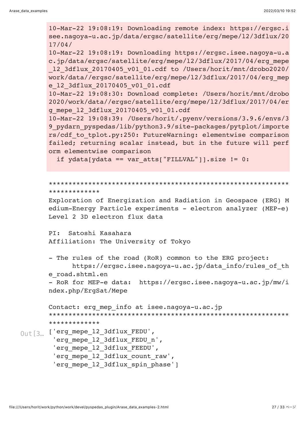```
10-Mar-22 19:08:19: Downloading remote index: https://ergsc.i
       see.nagoya-u.ac.jp/data/ergsc/satellite/erg/mepe/l2/3dflux/20
       17/04/
       10-Mar-22 19:08:19: Downloading https://ergsc.isee.nagoya-u.a
       c.jp/data/ergsc/satellite/erg/mepe/l2/3dflux/2017/04/erg_mepe
       _l2_3dflux_20170405_v01_01.cdf to /Users/horit/mnt/drobo2020/
       work/data//ergsc/satellite/erg/mepe/l2/3dflux/2017/04/erg_mep
       e_l2_3dflux_20170405_v01_01.cdf
       10-Mar-22 19:08:30: Download complete: /Users/horit/mnt/drobo
       2020/work/data//ergsc/satellite/erg/mepe/l2/3dflux/2017/04/er
       g_mepe_l2_3dflux_20170405_v01_01.cdf
       10-Mar-22 19:08:39: /Users/horit/.pyenv/versions/3.9.6/envs/3
       9 pydarn pyspedas/lib/python3.9/site-packages/pytplot/importe
       rs/cdf_to_tplot.py:250: FutureWarning: elementwise comparison
       failed; returning scalar instead, but in the future will perf
       orm elementwise comparison
         if ydata[ydata == var atts["FILLVAL"]].size != 0:*************************************************************
       *************
       Exploration of Energization and Radiation in Geospace (ERG) M
       edium-Energy Particle experiments - electron analyzer (MEP-e)
       Level 2 3D electron flux data
       PI: Satoshi Kasahara
       Affiliation: The University of Tokyo
       - The rules of the road (RoR) common to the ERG project:
             https://ergsc.isee.nagoya-u.ac.jp/data_info/rules_of_th
       e_road.shtml.en
       - RoR for MEP-e data: https://ergsc.isee.nagoya-u.ac.jp/mw/i
       ndex.php/ErgSat/Mepe
       Contact: erg mep info at isee.nagoya-u.ac.jp
       *************************************************************
       *************
0ut [3]. ['erg_mepe_12_3dflux_FEDU',
        'erg_mepe_12_3dflux_FEDU_n',
        'erg_mepe_12_3dflux_FEEDU',
        'erg_mepe_12_3dflux_count_raw',
        'erg mepe 12 3dflux spin phase']
```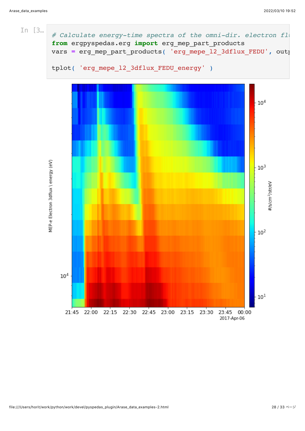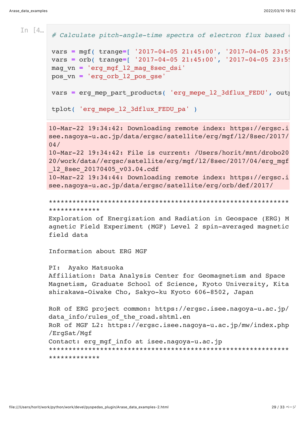```
10-Mar-22 19:34:42: Downloading remote index: https://ergsc.i
       see.nagoya-u.ac.jp/data/ergsc/satellite/erg/mgf/l2/8sec/2017/
       04/
       10-Mar-22 19:34:42: File is current: /Users/horit/mnt/drobo20
       20/work/data//ergsc/satellite/erg/mgf/l2/8sec/2017/04/erg_mgf
       _l2_8sec_20170405_v03.04.cdf
       10-Mar-22 19:34:44: Downloading remote index: https://ergsc.i
       see.nagoya-u.ac.jp/data/ergsc/satellite/erg/orb/def/2017/
       *************************************************************
       *************
In [4\ldots] # Calculate pitch-angle-time spectra of electron flux based
       vars = mgf( trange=[ '2017-04-05 21:45:00', '2017-04-05 23:59vars = orb( trange=[ '2017-04-05 21:45:00', '2017-04-05 23:5mag_vn = 'erg_mgf_l2_mag_8sec_dsi'
       pos_vn = 'erg_orb_l2_pos_gse'
       vars = erg mep part products( 'erg mepe 12 3dflux FEDU', outputs
       tplot( 'erg mepe 12 3dflux FEDU pa' )
```
Exploration of Energization and Radiation in Geospace (ERG) M agnetic Field Experiment (MGF) Level 2 spin-averaged magnetic field data

Information about ERG MGF

PI: Ayako Matsuoka Affiliation: Data Analysis Center for Geomagnetism and Space Magnetism, Graduate School of Science, Kyoto University, Kita shirakawa-Oiwake Cho, Sakyo-ku Kyoto 606-8502, Japan

```
RoR of ERG project common: https://ergsc.isee.nagoya-u.ac.jp/
data info/rules of the road.shtml.en
RoR of MGF L2: https://ergsc.isee.nagoya-u.ac.jp/mw/index.php
/ErgSat/Mgf
Contact: erg mgf info at isee.nagoya-u.ac.jp
*************************************************************
*************
```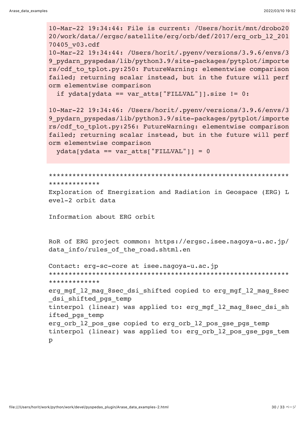10-Mar-22 19:34:44: File is current: /Users/horit/mnt/drobo20 20/work/data//ergsc/satellite/erg/orb/def/2017/erg orb 12 201 70405 v03.cdf 10-Mar-22 19:34:44: /Users/horit/.pyenv/versions/3.9.6/envs/3 9 pydarn pyspedas/lib/python3.9/site-packages/pytplot/importe rs/cdf to tplot.py:250: FutureWarning: elementwise comparison failed; returning scalar instead, but in the future will perf orm elementwise comparison if ydata[ydata == var atts["FILLVAL"]].size != 0: 10-Mar-22 19:34:46: /Users/horit/.pyenv/versions/3.9.6/envs/3 9 pydarn pyspedas/lib/python3.9/site-packages/pytplot/importe rs/cdf to tplot.py:256: FutureWarning: elementwise comparison failed; returning scalar instead, but in the future will perf orm elementwise comparison  $ydata[ydata == varatts['FillVAL"] = 0$ \*\*\*\*\*\*\*\*\*\*\*\*\* Exploration of Energization and Radiation in Geospace (ERG) L evel-2 orbit data Information about ERG orbit RoR of ERG project common: https://ergsc.isee.nagoya-u.ac.jp/ data info/rules of the road.shtml.en Contact: erg-sc-core at isee.nagoya-u.ac.jp \*\*\*\*\*\*\*\*\*\*\*\*\* erg mgf 12 mag 8sec dsi shifted copied to erg mgf 12 mag 8sec dsi shifted pgs temp tinterpol (linear) was applied to: erg mgf 12 mag 8sec dsi sh ifted pgs temp erg orb 12 pos gse copied to erg orb 12 pos gse pgs temp tinterpol (linear) was applied to: erg orb 12 pos gse pgs tem  $\mathsf{D}$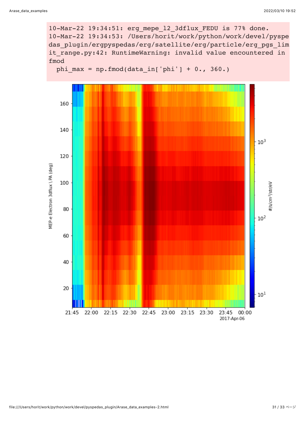10-Mar-22 19:34:51: erg\_mepe\_l2\_3dflux\_FEDU is 77% done. 10-Mar-22 19:34:53: /Users/horit/work/python/work/devel/pyspe das plugin/ergpyspedas/erg/satellite/erg/particle/erg\_pgs\_lim it range.py:42: RuntimeWarning: invalid value encountered in fmod

```
phi max = np.fmod(data_in['phi'] + 0., 360.)
```
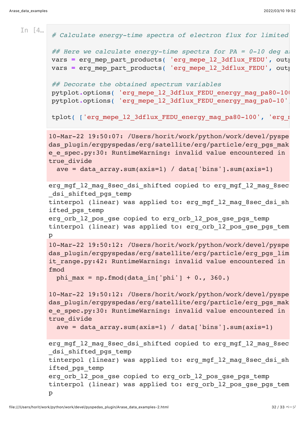```
10-Mar-22 19:50:07: /Users/horit/work/python/work/devel/pyspe
       das plugin/ergpyspedas/erg/satellite/erg/particle/erg pgs mak
       e e spec.py:30: RuntimeWarning: invalid value encountered in
       true divide
         ave = data array.sum(axis=1) / data['bins'].sum(axis=1)
       erg mgf 12 mag 8sec dsi shifted copied to erg mgf 12 mag 8sec
       dsi shifted pgs temp
       tinterpol (linear) was applied to: erg mgf 12 mag 8sec dsi sh
       ifted_pgs_temp
       erg orb 12 pos gse copied to erg orb 12 pos gse pgs temp
       tinterpol (linear) was applied to: erg orb 12 pos gse pgs tem
       p
       10-Mar-22 19:50:12: /Users/horit/work/python/work/devel/pyspe
       das plugin/ergpyspedas/erg/satellite/erg/particle/erg pgs lim
       it range.py:42: RuntimeWarning: invalid value encountered in
       fmod
         phi max = np.fmod(data in['phi'] + 0., 360.)
       10-Mar-22 19:50:12: /Users/horit/work/python/work/devel/pyspe
       das plugin/ergpyspedas/erg/satellite/erg/particle/erg_pgs_mak
       e e spec.py:30: RuntimeWarning: invalid value encountered in
       true divide
         ave = data array.sum(axis=1) / data['bins'].sum(axis=1)
       erg mgf 12 mag 8sec dsi shifted copied to erg mgf 12 mag 8sec
       dsi shifted pgs temp
       tinterpol (linear) was applied to: erg mgf 12 mag 8sec dsi sh
       ifted_pgs_temp
       erg orb 12 pos gse copied to erg orb 12 pos gse pgs temp
       tinterpol (linear) was applied to: erg orb 12 pos gse pgs tem
       p
In [4] # Calculate energy-time spectra of electron flux for limited
       ## Here we calculate energy-time spectra for PA = 0-10 deg al
       vars = erg mep part products( 'erg mepe 12 3dflux FEDU', outputs
       vars = erg mep part products( 'erg mepe 12 3dflux FEDU', outputs
       ## Decorate the obtained spectrum variables
       pytplot.options( 'erg_mepe_l2_3dflux_FEDU_energy_mag_pa80-100'
       pytplot.options( 'erg_mepe_l2_3dflux_FEDU_energy_mag_pa0-10',
       tplot( ['erg_mepe_l2_3dflux_FEDU_energy_mag_pa80-100', 'erg_mepe
```